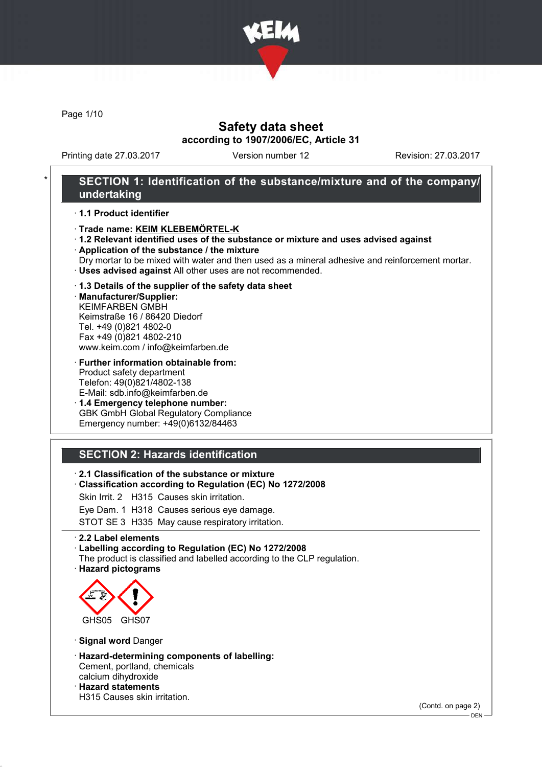

Page 1/10

## Safety data sheet according to 1907/2006/EC, Article 31

Printing date 27.03.2017 Version number 12 Revision: 27.03.2017

## SECTION 1: Identification of the substance/mixture and of the company/ undertaking

#### · 1.1 Product identifier

- · Trade name: KEIM KLEBEMÖRTEL-K
- · 1.2 Relevant identified uses of the substance or mixture and uses advised against
- · Application of the substance / the mixture
- Dry mortar to be mixed with water and then used as a mineral adhesive and reinforcement mortar. · Uses advised against All other uses are not recommended.

#### · 1.3 Details of the supplier of the safety data sheet

· Manufacturer/Supplier: KEIMFARBEN GMBH Keimstraße 16 / 86420 Diedorf Tel. +49 (0)821 4802-0 Fax +49 (0)821 4802-210 www.keim.com / info@keimfarben.de

· Further information obtainable from: Product safety department Telefon: 49(0)821/4802-138 E-Mail: sdb.info@keimfarben.de

· 1.4 Emergency telephone number: GBK GmbH Global Regulatory Compliance Emergency number: +49(0)6132/84463

# SECTION 2: Hazards identification

· 2.1 Classification of the substance or mixture

· Classification according to Regulation (EC) No 1272/2008

Skin Irrit. 2 H315 Causes skin irritation.

Eye Dam. 1 H318 Causes serious eye damage.

STOT SE 3 H335 May cause respiratory irritation.

#### · 2.2 Label elements

· Labelling according to Regulation (EC) No 1272/2008

- The product is classified and labelled according to the CLP regulation.
- · Hazard pictograms



· Signal word Danger

· Hazard-determining components of labelling: Cement, portland, chemicals calcium dihydroxide · Hazard statements H315 Causes skin irritation.

(Contd. on page 2)

<sup>-</sup> DEN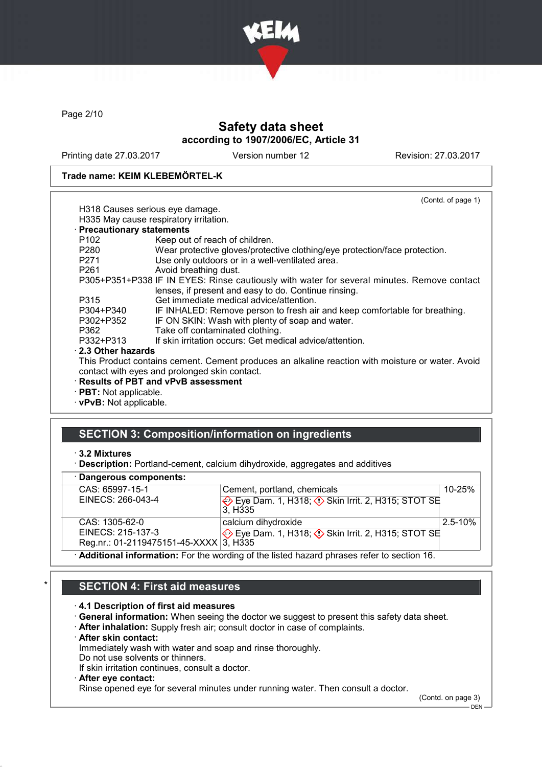

Page 2/10

# Safety data sheet according to 1907/2006/EC, Article 31

Printing date 27.03.2017 Version number 12 Revision: 27.03.2017

### Trade name: KEIM KLEBEMÖRTEL-K

|                            | (Contd. of page 1)                                                                               |
|----------------------------|--------------------------------------------------------------------------------------------------|
|                            | H318 Causes serious eye damage.                                                                  |
|                            | H335 May cause respiratory irritation.                                                           |
| · Precautionary statements |                                                                                                  |
| P102                       | Keep out of reach of children.                                                                   |
| P280                       | Wear protective gloves/protective clothing/eye protection/face protection.                       |
| P271                       | Use only outdoors or in a well-ventilated area.                                                  |
| P261                       | Avoid breathing dust.                                                                            |
|                            | P305+P351+P338 IF IN EYES: Rinse cautiously with water for several minutes. Remove contact       |
|                            | lenses, if present and easy to do. Continue rinsing.                                             |
| P315                       | Get immediate medical advice/attention.                                                          |
| P304+P340                  | IF INHALED: Remove person to fresh air and keep comfortable for breathing.                       |
| P302+P352                  | IF ON SKIN: Wash with plenty of soap and water.                                                  |
| P362                       | Take off contaminated clothing.                                                                  |
| P332+P313                  | If skin irritation occurs: Get medical advice/attention.                                         |
| $\cdot$ 2.3 Other hazards  |                                                                                                  |
|                            | This Product contains cement. Cement produces an alkaline reaction with moisture or water. Avoid |
|                            | contact with eyes and prolonged skin contact.                                                    |
|                            | · Results of PBT and vPvB assessment                                                             |
|                            |                                                                                                  |

· PBT: Not applicable.

· vPvB: Not applicable.

# SECTION 3: Composition/information on ingredients

#### · 3.2 Mixtures

· Description: Portland-cement, calcium dihydroxide, aggregates and additives

#### · Dangerous components:

| CAS: 65997-15-1                                                                               | Cement, portland, chemicals                               | $10 - 25%$  |
|-----------------------------------------------------------------------------------------------|-----------------------------------------------------------|-------------|
| EINECS: 266-043-4                                                                             | Eye Dam. 1, H318; $\Diamond$ Skin Irrit. 2, H315; STOT SE |             |
|                                                                                               | 3. H <sub>335</sub>                                       |             |
| CAS: 1305-62-0                                                                                | calcium dihydroxide                                       | $2.5 - 10%$ |
| EINECS: 215-137-3                                                                             | Eye Dam. 1, H318; ♦ Skin Irrit. 2, H315; STOT SE          |             |
| Reg.nr.: 01-2119475151-45-XXXX 3, H335                                                        |                                                           |             |
| A diditional information. For the mondial of the listed because places of a forth or other AC |                                                           |             |

· Additional information: For the wording of the listed hazard phrases refer to section 16.

## SECTION 4: First aid measures

- · 4.1 Description of first aid measures
- · General information: When seeing the doctor we suggest to present this safety data sheet.
- · After inhalation: Supply fresh air; consult doctor in case of complaints.
- · After skin contact:
- Immediately wash with water and soap and rinse thoroughly.
- Do not use solvents or thinners.

If skin irritation continues, consult a doctor.

### After eye contact:

Rinse opened eye for several minutes under running water. Then consult a doctor.

(Contd. on page 3)

DEN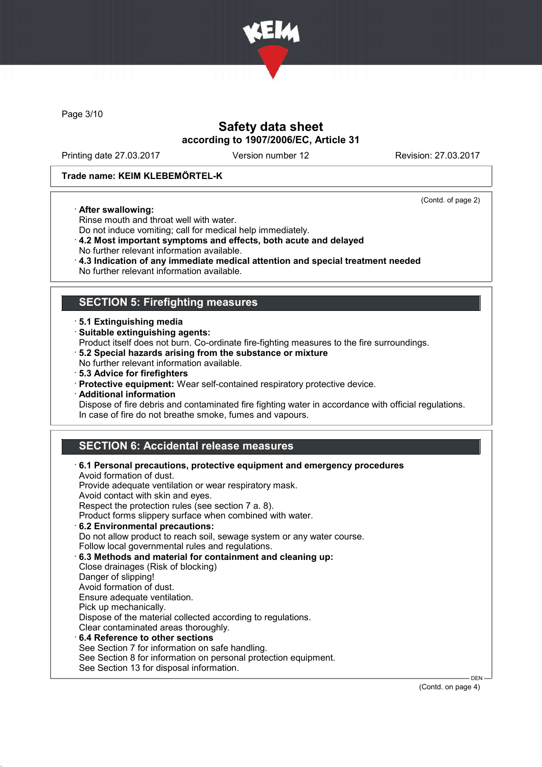

Page 3/10

## Safety data sheet according to 1907/2006/EC, Article 31

Printing date 27.03.2017 Version number 12 Revision: 27.03.2017

(Contd. of page 2)

#### Trade name: KEIM KLEBEMÖRTEL-K

#### · After swallowing:

Rinse mouth and throat well with water. Do not induce vomiting; call for medical help immediately.

- · 4.2 Most important symptoms and effects, both acute and delayed
- No further relevant information available.
- · 4.3 Indication of any immediate medical attention and special treatment needed
- No further relevant information available.

## SECTION 5: Firefighting measures

- · 5.1 Extinguishing media
- · Suitable extinguishing agents:

Product itself does not burn. Co-ordinate fire-fighting measures to the fire surroundings.

- · 5.2 Special hazards arising from the substance or mixture
- No further relevant information available.
- · 5.3 Advice for firefighters
- · Protective equipment: Wear self-contained respiratory protective device.
- · Additional information

Dispose of fire debris and contaminated fire fighting water in accordance with official regulations. In case of fire do not breathe smoke, fumes and vapours.

## SECTION 6: Accidental release measures

| $\cdot$ 6.1 Personal precautions, protective equipment and emergency procedures<br>Avoid formation of dust. |            |
|-------------------------------------------------------------------------------------------------------------|------------|
| Provide adequate ventilation or wear respiratory mask.                                                      |            |
| Avoid contact with skin and eyes.                                                                           |            |
| Respect the protection rules (see section 7 a. 8).                                                          |            |
| Product forms slippery surface when combined with water.                                                    |            |
| 6.2 Environmental precautions:                                                                              |            |
| Do not allow product to reach soil, sewage system or any water course.                                      |            |
| Follow local governmental rules and regulations.                                                            |            |
| 6.3 Methods and material for containment and cleaning up:                                                   |            |
| Close drainages (Risk of blocking)                                                                          |            |
| Danger of slipping!                                                                                         |            |
| Avoid formation of dust.                                                                                    |            |
| Ensure adequate ventilation.                                                                                |            |
| Pick up mechanically.                                                                                       |            |
| Dispose of the material collected according to regulations.                                                 |            |
| Clear contaminated areas thoroughly.                                                                        |            |
| $\cdot$ 6.4 Reference to other sections                                                                     |            |
| See Section 7 for information on safe handling.                                                             |            |
| See Section 8 for information on personal protection equipment.                                             |            |
| See Section 13 for disposal information.                                                                    |            |
|                                                                                                             | <b>DEN</b> |

(Contd. on page 4)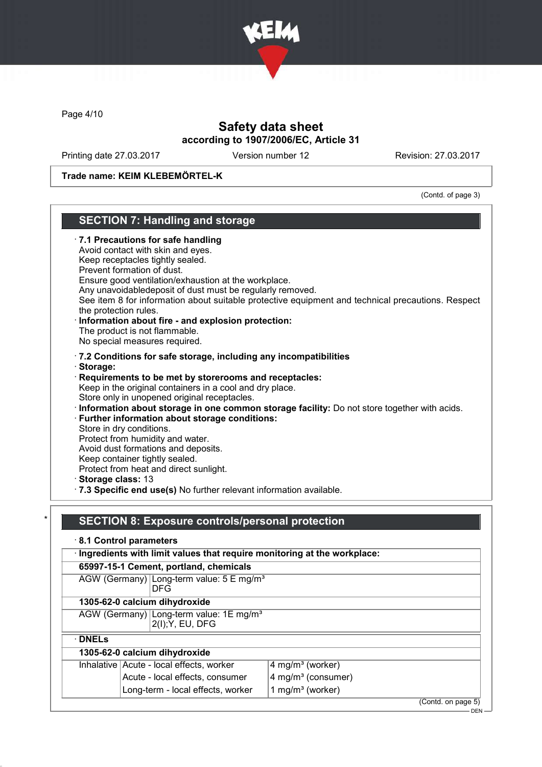

Page 4/10

# Safety data sheet according to 1907/2006/EC, Article 31

Printing date 27.03.2017 Version number 12 Revision: 27.03.2017

Trade name: KEIM KLEBEMÖRTEL-K

(Contd. of page 3)

| <b>SECTION 7: Handling and storage</b>                                                                                                                                                                                                                                                                                                                                                                                                                                                                       |                                                                                                   |  |  |
|--------------------------------------------------------------------------------------------------------------------------------------------------------------------------------------------------------------------------------------------------------------------------------------------------------------------------------------------------------------------------------------------------------------------------------------------------------------------------------------------------------------|---------------------------------------------------------------------------------------------------|--|--|
| 7.1 Precautions for safe handling<br>Avoid contact with skin and eyes.<br>Keep receptacles tightly sealed.<br>Prevent formation of dust.<br>Ensure good ventilation/exhaustion at the workplace.<br>Any unavoidabledeposit of dust must be regularly removed.<br>the protection rules.<br>Information about fire - and explosion protection:<br>The product is not flammable.<br>No special measures required.                                                                                               | See item 8 for information about suitable protective equipment and technical precautions. Respect |  |  |
| .7.2 Conditions for safe storage, including any incompatibilities                                                                                                                                                                                                                                                                                                                                                                                                                                            |                                                                                                   |  |  |
| Storage:<br>Requirements to be met by storerooms and receptacles:<br>Keep in the original containers in a cool and dry place.<br>Store only in unopened original receptacles.<br>Further information about storage conditions:<br>Store in dry conditions.<br>Protect from humidity and water.<br>Avoid dust formations and deposits.<br>Keep container tightly sealed.<br>Protect from heat and direct sunlight.<br>Storage class: 13<br>7.3 Specific end use(s) No further relevant information available. | · Information about storage in one common storage facility: Do not store together with acids.     |  |  |
| <b>SECTION 8: Exposure controls/personal protection</b>                                                                                                                                                                                                                                                                                                                                                                                                                                                      |                                                                                                   |  |  |
| 8.1 Control parameters                                                                                                                                                                                                                                                                                                                                                                                                                                                                                       |                                                                                                   |  |  |
| · Ingredients with limit values that require monitoring at the workplace:                                                                                                                                                                                                                                                                                                                                                                                                                                    |                                                                                                   |  |  |
| 65997-15-1 Cement, portland, chemicals                                                                                                                                                                                                                                                                                                                                                                                                                                                                       |                                                                                                   |  |  |
| AGW (Germany) Long-term value: 5 E mg/m <sup>3</sup><br><b>DFG</b>                                                                                                                                                                                                                                                                                                                                                                                                                                           |                                                                                                   |  |  |
| 1305-62-0 calcium dihydroxide                                                                                                                                                                                                                                                                                                                                                                                                                                                                                |                                                                                                   |  |  |
| AGW (Germany) Long-term value: 1E mg/m <sup>3</sup><br>2(I); Y, EU, DFG                                                                                                                                                                                                                                                                                                                                                                                                                                      |                                                                                                   |  |  |
| $\cdot$ DNELs                                                                                                                                                                                                                                                                                                                                                                                                                                                                                                |                                                                                                   |  |  |
| 1305-62-0 calcium dihydroxide                                                                                                                                                                                                                                                                                                                                                                                                                                                                                |                                                                                                   |  |  |
| Inhalative Acute - local effects, worker                                                                                                                                                                                                                                                                                                                                                                                                                                                                     | 4 mg/m <sup>3</sup> (worker)                                                                      |  |  |
| Acute - local effects, consumer                                                                                                                                                                                                                                                                                                                                                                                                                                                                              | 4 mg/m <sup>3</sup> (consumer)                                                                    |  |  |

Long-term - local effects, worker  $1$  mg/m<sup>3</sup> (worker)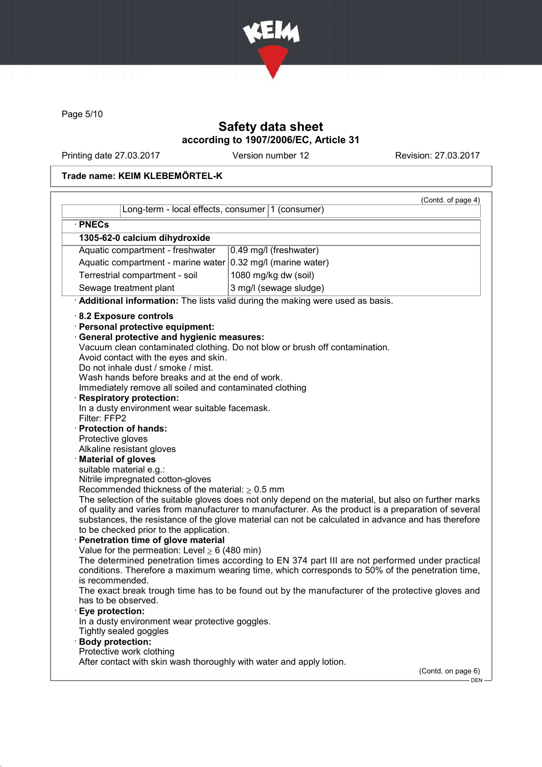

Page 5/10

# Safety data sheet according to 1907/2006/EC, Article 31

Printing date 27.03.2017 Version number 12 Revision: 27.03.2017

## Trade name: KEIM KLEBEMÖRTEL-K

| Long-term - local effects, consumer 1 (consumer)                                                                                                                                                                                                                                                                                                                                                                                                                                                                                                                                                                                                                                                                     | (Contd. of page 4)                                                                                                                                                                                                                                                                                                                                                                                |
|----------------------------------------------------------------------------------------------------------------------------------------------------------------------------------------------------------------------------------------------------------------------------------------------------------------------------------------------------------------------------------------------------------------------------------------------------------------------------------------------------------------------------------------------------------------------------------------------------------------------------------------------------------------------------------------------------------------------|---------------------------------------------------------------------------------------------------------------------------------------------------------------------------------------------------------------------------------------------------------------------------------------------------------------------------------------------------------------------------------------------------|
| · PNECs                                                                                                                                                                                                                                                                                                                                                                                                                                                                                                                                                                                                                                                                                                              |                                                                                                                                                                                                                                                                                                                                                                                                   |
| 1305-62-0 calcium dihydroxide                                                                                                                                                                                                                                                                                                                                                                                                                                                                                                                                                                                                                                                                                        |                                                                                                                                                                                                                                                                                                                                                                                                   |
| Aquatic compartment - freshwater                                                                                                                                                                                                                                                                                                                                                                                                                                                                                                                                                                                                                                                                                     | 0.49 mg/l (freshwater)                                                                                                                                                                                                                                                                                                                                                                            |
| Aquatic compartment - marine water $ 0.32 \text{ mg/l}$ (marine water)                                                                                                                                                                                                                                                                                                                                                                                                                                                                                                                                                                                                                                               |                                                                                                                                                                                                                                                                                                                                                                                                   |
| Terrestrial compartment - soil                                                                                                                                                                                                                                                                                                                                                                                                                                                                                                                                                                                                                                                                                       | 1080 mg/kg dw (soil)                                                                                                                                                                                                                                                                                                                                                                              |
| Sewage treatment plant                                                                                                                                                                                                                                                                                                                                                                                                                                                                                                                                                                                                                                                                                               | 3 mg/l (sewage sludge)                                                                                                                                                                                                                                                                                                                                                                            |
|                                                                                                                                                                                                                                                                                                                                                                                                                                                                                                                                                                                                                                                                                                                      | Additional information: The lists valid during the making were used as basis.                                                                                                                                                                                                                                                                                                                     |
| 8.2 Exposure controls<br>· Personal protective equipment:<br>· General protective and hygienic measures:<br>Avoid contact with the eyes and skin.<br>Do not inhale dust / smoke / mist.<br>Wash hands before breaks and at the end of work.<br>Immediately remove all soiled and contaminated clothing<br>· Respiratory protection:<br>In a dusty environment wear suitable facemask.<br>Filter: FFP2<br>· Protection of hands:<br>Protective gloves<br>Alkaline resistant gloves<br>· Material of gloves<br>suitable material e.g.:<br>Nitrile impregnated cotton-gloves<br>Recommended thickness of the material: $\geq 0.5$ mm<br>to be checked prior to the application.<br>· Penetration time of glove material | Vacuum clean contaminated clothing. Do not blow or brush off contamination.<br>The selection of the suitable gloves does not only depend on the material, but also on further marks<br>of quality and varies from manufacturer to manufacturer. As the product is a preparation of several<br>substances, the resistance of the glove material can not be calculated in advance and has therefore |
| Value for the permeation: Level $\geq 6$ (480 min)<br>is recommended.                                                                                                                                                                                                                                                                                                                                                                                                                                                                                                                                                                                                                                                | The determined penetration times according to EN 374 part III are not performed under practical<br>conditions. Therefore a maximum wearing time, which corresponds to 50% of the penetration time,                                                                                                                                                                                                |
|                                                                                                                                                                                                                                                                                                                                                                                                                                                                                                                                                                                                                                                                                                                      | The exact break trough time has to be found out by the manufacturer of the protective gloves and                                                                                                                                                                                                                                                                                                  |
| has to be observed.                                                                                                                                                                                                                                                                                                                                                                                                                                                                                                                                                                                                                                                                                                  |                                                                                                                                                                                                                                                                                                                                                                                                   |
| Eye protection:<br>In a dusty environment wear protective goggles.                                                                                                                                                                                                                                                                                                                                                                                                                                                                                                                                                                                                                                                   |                                                                                                                                                                                                                                                                                                                                                                                                   |
| Tightly sealed goggles                                                                                                                                                                                                                                                                                                                                                                                                                                                                                                                                                                                                                                                                                               |                                                                                                                                                                                                                                                                                                                                                                                                   |
| · Body protection:<br>Protective work clothing                                                                                                                                                                                                                                                                                                                                                                                                                                                                                                                                                                                                                                                                       |                                                                                                                                                                                                                                                                                                                                                                                                   |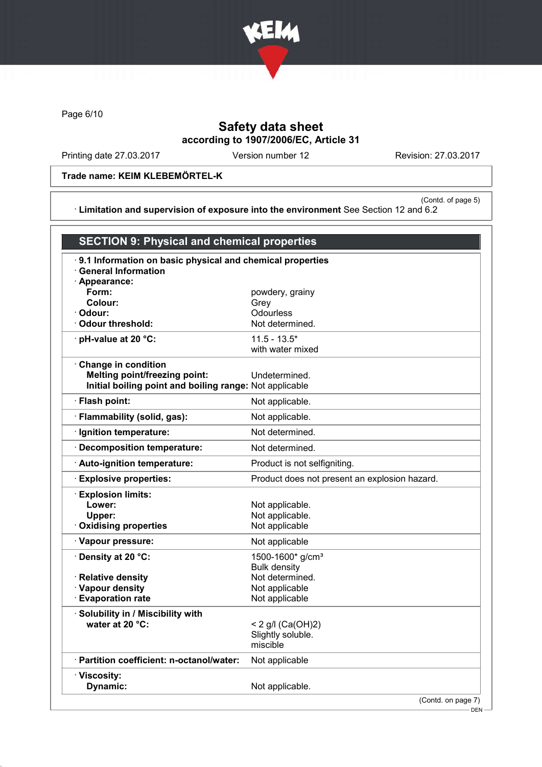

Page 6/10

# Safety data sheet according to 1907/2006/EC, Article 31

Printing date 27.03.2017 Version number 12 Revision: 27.03.2017

Trade name: KEIM KLEBEMÖRTEL-K

(Contd. of page 5) · Limitation and supervision of exposure into the environment See Section 12 and 6.2

| <b>SECTION 9: Physical and chemical properties</b>                                              |                                                     |  |
|-------------------------------------------------------------------------------------------------|-----------------------------------------------------|--|
| · 9.1 Information on basic physical and chemical properties                                     |                                                     |  |
| $\cdot$ General Information<br>· Appearance:                                                    |                                                     |  |
| Form:                                                                                           | powdery, grainy                                     |  |
| Colour:                                                                                         | Grey                                                |  |
| · Odour:<br>Odour threshold:                                                                    | Odourless<br>Not determined.                        |  |
| $\cdot$ pH-value at 20 $\degree$ C:                                                             | $11.5 - 13.5*$                                      |  |
|                                                                                                 | with water mixed                                    |  |
| Change in condition                                                                             |                                                     |  |
| <b>Melting point/freezing point:</b><br>Initial boiling point and boiling range: Not applicable | Undetermined.                                       |  |
| · Flash point:                                                                                  | Not applicable.                                     |  |
|                                                                                                 |                                                     |  |
| · Flammability (solid, gas):                                                                    | Not applicable.                                     |  |
| · Ignition temperature:                                                                         | Not determined.                                     |  |
| <b>Decomposition temperature:</b>                                                               | Not determined.                                     |  |
| · Auto-ignition temperature:                                                                    | Product is not selfigniting.                        |  |
| <b>Explosive properties:</b>                                                                    | Product does not present an explosion hazard.       |  |
| <b>Explosion limits:</b>                                                                        |                                                     |  |
| Lower:                                                                                          | Not applicable.                                     |  |
| Upper:<br><b>Oxidising properties</b>                                                           | Not applicable.<br>Not applicable                   |  |
|                                                                                                 |                                                     |  |
| · Vapour pressure:                                                                              | Not applicable                                      |  |
| · Density at 20 °C:                                                                             | 1500-1600* g/cm <sup>3</sup><br><b>Bulk density</b> |  |
| · Relative density                                                                              | Not determined.                                     |  |
| · Vapour density                                                                                | Not applicable                                      |  |
| <b>Evaporation rate</b>                                                                         | Not applicable                                      |  |
| · Solubility in / Miscibility with                                                              |                                                     |  |
| water at 20 °C:                                                                                 | < 2 g/l $(Ca(OH)2)$                                 |  |
|                                                                                                 | Slightly soluble.                                   |  |
|                                                                                                 | miscible                                            |  |
| · Partition coefficient: n-octanol/water:                                                       | Not applicable                                      |  |
| · Viscosity:                                                                                    |                                                     |  |
| Dynamic:                                                                                        | Not applicable.                                     |  |
|                                                                                                 | (Contd. on page 7)                                  |  |

DEN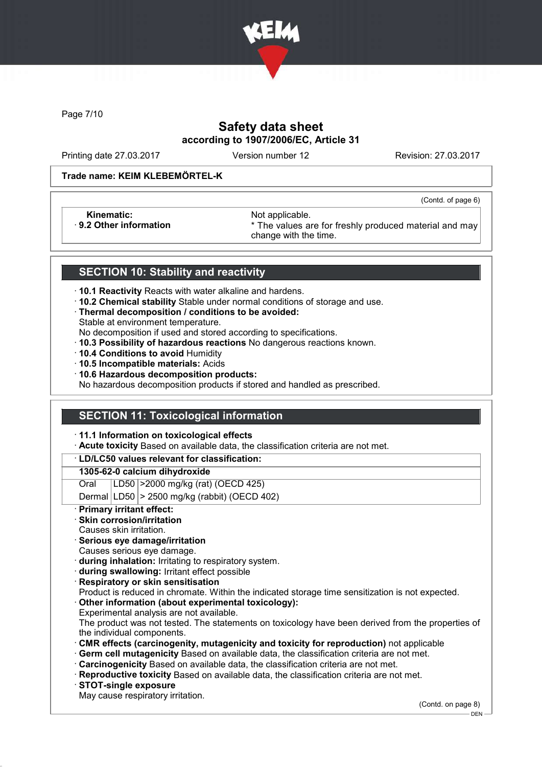

Page 7/10

# Safety data sheet according to 1907/2006/EC, Article 31

Printing date 27.03.2017 Version number 12 Revision: 27.03.2017

(Contd. of page 6)

#### Trade name: KEIM KLEBEMÖRTEL-K

Kinematic: Not applicable.<br>
9.2 Other information **Accord 1989** The values are

\* The values are for freshly produced material and may change with the time.

## SECTION 10: Stability and reactivity

- · 10.1 Reactivity Reacts with water alkaline and hardens.
- · 10.2 Chemical stability Stable under normal conditions of storage and use.
- · Thermal decomposition / conditions to be avoided:
- Stable at environment temperature.

No decomposition if used and stored according to specifications.

- · 10.3 Possibility of hazardous reactions No dangerous reactions known.
- · 10.4 Conditions to avoid Humidity
- · 10.5 Incompatible materials: Acids
- · 10.6 Hazardous decomposition products:

No hazardous decomposition products if stored and handled as prescribed.

## SECTION 11: Toxicological information

· 11.1 Information on toxicological effects

· Acute toxicity Based on available data, the classification criteria are not met.

### · LD/LC50 values relevant for classification:

#### 1305-62-0 calcium dihydroxide

Oral LD50 >2000 mg/kg (rat) (OECD 425)

Dermal  $|LD50|$  > 2500 mg/kg (rabbit) (OECD 402)

Primary irritant effect:

### Skin corrosion/irritation

- Causes skin irritation.
- · Serious eye damage/irritation
- Causes serious eye damage.
- · during inhalation: Irritating to respiratory system.
- · during swallowing: Irritant effect possible
- **Respiratory or skin sensitisation**
- Product is reduced in chromate. Within the indicated storage time sensitization is not expected.
- Other information (about experimental toxicology):
- Experimental analysis are not available.

The product was not tested. The statements on toxicology have been derived from the properties of the individual components.

- · CMR effects (carcinogenity, mutagenicity and toxicity for reproduction) not applicable
- Germ cell mutagenicity Based on available data, the classification criteria are not met.
- · Carcinogenicity Based on available data, the classification criteria are not met.
- · Reproductive toxicity Based on available data, the classification criteria are not met.
- · STOT-single exposure
- May cause respiratory irritation.

(Contd. on page 8)

DEN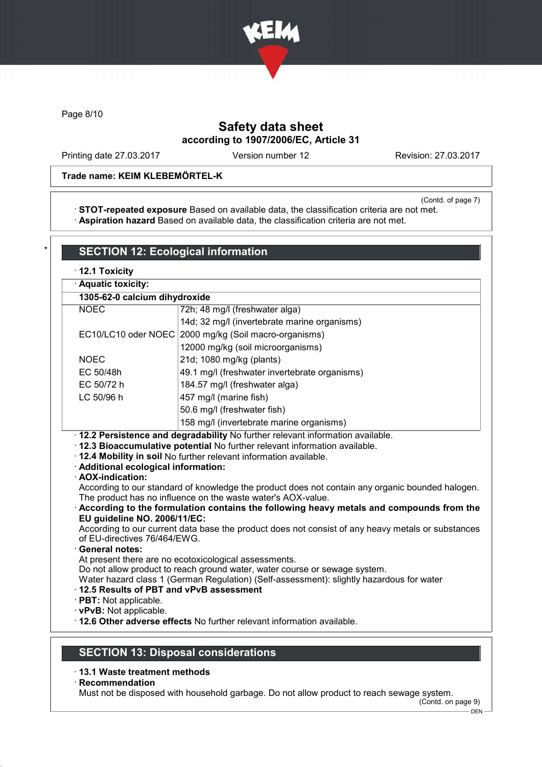

Page 8/10

# Safety data sheet according to 1907/2006/EC, Article 31

Printing date 27.03.2017 Version number 12 Revision: 27.03.2017

### Trade name: KEIM KLEBEMÖRTEL-K

(Contd. of page 7)

· STOT-repeated exposure Based on available data, the classification criteria are not met. · Aspiration hazard Based on available data, the classification criteria are not met.

| · Aquatic toxicity:                                                                                                         |                                                                                                                                                                                                                                                                                                                                                                                                                                                                                                                                                                                                     |
|-----------------------------------------------------------------------------------------------------------------------------|-----------------------------------------------------------------------------------------------------------------------------------------------------------------------------------------------------------------------------------------------------------------------------------------------------------------------------------------------------------------------------------------------------------------------------------------------------------------------------------------------------------------------------------------------------------------------------------------------------|
| 1305-62-0 calcium dihydroxide                                                                                               |                                                                                                                                                                                                                                                                                                                                                                                                                                                                                                                                                                                                     |
| <b>NOEC</b>                                                                                                                 | 72h; 48 mg/l (freshwater alga)                                                                                                                                                                                                                                                                                                                                                                                                                                                                                                                                                                      |
|                                                                                                                             | 14d; 32 mg/l (invertebrate marine organisms)                                                                                                                                                                                                                                                                                                                                                                                                                                                                                                                                                        |
|                                                                                                                             | EC10/LC10 oder NOEC 2000 mg/kg (Soil macro-organisms)                                                                                                                                                                                                                                                                                                                                                                                                                                                                                                                                               |
|                                                                                                                             | 12000 mg/kg (soil microorganisms)                                                                                                                                                                                                                                                                                                                                                                                                                                                                                                                                                                   |
| <b>NOEC</b>                                                                                                                 | 21d; 1080 mg/kg (plants)                                                                                                                                                                                                                                                                                                                                                                                                                                                                                                                                                                            |
| EC 50/48h                                                                                                                   | 49.1 mg/l (freshwater invertebrate organisms)                                                                                                                                                                                                                                                                                                                                                                                                                                                                                                                                                       |
| EC 50/72 h                                                                                                                  | 184.57 mg/l (freshwater alga)                                                                                                                                                                                                                                                                                                                                                                                                                                                                                                                                                                       |
| LC 50/96 h                                                                                                                  | 457 mg/l (marine fish)                                                                                                                                                                                                                                                                                                                                                                                                                                                                                                                                                                              |
|                                                                                                                             | 50.6 mg/l (freshwater fish)                                                                                                                                                                                                                                                                                                                                                                                                                                                                                                                                                                         |
|                                                                                                                             | 158 mg/l (invertebrate marine organisms)                                                                                                                                                                                                                                                                                                                                                                                                                                                                                                                                                            |
| · Additional ecological information:<br>· AOX-indication:                                                                   | · 12.4 Mobility in soil No further relevant information available.                                                                                                                                                                                                                                                                                                                                                                                                                                                                                                                                  |
| EU guideline NO. 2006/11/EC:<br>of EU-directives 76/464/EWG.<br>· General notes:<br>12.5 Results of PBT and vPvB assessment | According to our standard of knowledge the product does not contain any organic bounded halogen.<br>The product has no influence on the waste water's AOX-value.<br>According to the formulation contains the following heavy metals and compounds from the<br>According to our current data base the product does not consist of any heavy metals or substances<br>At present there are no ecotoxicological assessments.<br>Do not allow product to reach ground water, water course or sewage system.<br>Water hazard class 1 (German Regulation) (Self-assessment): slightly hazardous for water |

- · 13.1 Waste treatment methods
- · Recommendation

Must not be disposed with household garbage. Do not allow product to reach sewage system.

(Contd. on page 9)  $-$  DEN  $-$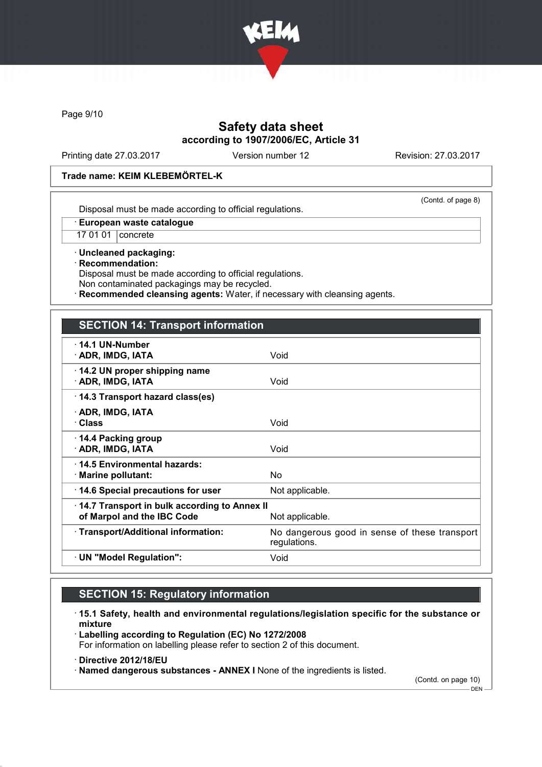

Page 9/10

## Safety data sheet according to 1907/2006/EC, Article 31

Printing date 27.03.2017 Version number 12 Revision: 27.03.2017

(Contd. of page 8)

#### Trade name: KEIM KLEBEMÖRTEL-K

Disposal must be made according to official regulations.

· European waste catalogue

17 01 01 concrete

· Uncleaned packaging: · Recommendation: Disposal must be made according to official regulations. Non contaminated packagings may be recycled.

Recommended cleansing agents: Water, if necessary with cleansing agents.

## SECTION 14: Transport information

| $\cdot$ 14.1 UN-Number<br>· ADR, IMDG, IATA                                | Void                                                          |
|----------------------------------------------------------------------------|---------------------------------------------------------------|
| $\cdot$ 14.2 UN proper shipping name<br>· ADR, IMDG, IATA                  | Void                                                          |
| 14.3 Transport hazard class(es)                                            |                                                               |
| · ADR, IMDG, IATA<br>· Class                                               | Void                                                          |
| $\cdot$ 14.4 Packing group<br>· ADR, IMDG, IATA                            | Void                                                          |
| ⋅14.5 Environmental hazards:<br>$\cdot$ Marine pollutant:                  | No                                                            |
| 14.6 Special precautions for user                                          | Not applicable.                                               |
| 14.7 Transport in bulk according to Annex II<br>of Marpol and the IBC Code | Not applicable.                                               |
| · Transport/Additional information:                                        | No dangerous good in sense of these transport<br>regulations. |
| · UN "Model Regulation":                                                   | Void                                                          |
|                                                                            |                                                               |

# SECTION 15: Regulatory information

· 15.1 Safety, health and environmental regulations/legislation specific for the substance or mixture

· Labelling according to Regulation (EC) No 1272/2008 For information on labelling please refer to section 2 of this document.

- · Directive 2012/18/EU
- · Named dangerous substances ANNEX I None of the ingredients is listed.

(Contd. on page 10)

 $-$  DEN